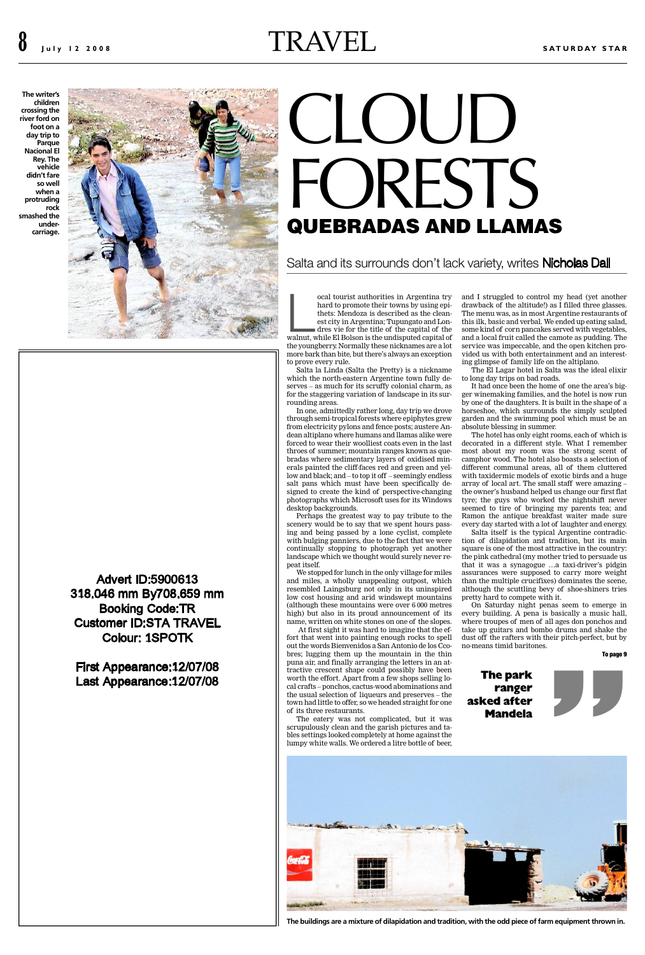Advert ID:5900613 318. .046 mm By708. .659 mm **Booking Code:TR** Customer ID:STA TRAVEL Colour: 1SPOTK

First Appearance: 12/07/08 Last Appearance: 12/07/08

thets: Mendoza is described as the cleanest city in Argentina; Tupungato and Londres vie for the title of the capital of the

mets: Mendoza is described as the clean-<br>est city in Argentina; Tupungato and Lon-<br>dres vie for the title of the capital of the<br>walnut, while El Bolson is the undisputed capital of the youngberry. Normally these nicknames are a lot more bark than bite, but there's always an exception to prove every rule.

Salta la Linda (Salta the Pretty) is a nickname which the north-eastern Argentine town fully deserves – as much for its scruffy colonial charm, as for the staggering variation of landscape in its surrounding areas.

In one, admittedly rather long, day trip we drove through semi-tropical forests where epiphytes grew from electricity pylons and fence posts; austere Andean altiplano where humans and llamas alike were forced to wear their woolliest coats even in the last throes of summer; mountain ranges known as quebradas where sedimentary layers of oxidised minerals painted the cliff-faces red and green and yellow and black; and – to top it off – seemingly endless salt pans which must have been specifically designed to create the kind of perspective-changing photographs which Microsoft uses for its Windows desktop backgrounds.

Perhaps the greatest way to pay tribute to the scenery would be to say that we spent hours passing and being passed by a lone cyclist, complete with bulging panniers, due to the fact that we were continually stopping to photograph yet another landscape which we thought would surely never repeat itself.

We stopped for lunch in the only village for miles and miles, a wholly unappealing outpost, which resembled Laingsburg not only in its uninspired low cost housing and arid windswept mountains (although these mountains were over 6 000 metres high) but also in its proud announcement of its name, written on white stones on one of the slopes.

At first sight it was hard to imagine that the effort that went into painting enough rocks to spell out the words Bienvenidos a San Antonio de los Ccobres; lugging them up the mountain in the thin puna air, and finally arranging the letters in an attractive crescent shape could possibly have been worth the effort. Apart from a few shops selling local crafts – ponchos, cactus-wood abominations and the usual selection of liqueurs and preserves – the town had little to offer, so we headed straight for one of its three restaurants.

The eatery was not complicated, but it was scrupulously clean and the garish pictures and tables settings looked completely at home against the lumpy white walls. We ordered a litre bottle of beer,

The menu this ilk, ba some kind and a local service wa vided us w ing glimps

The Eli to long day

It had o ger winem by one of t horseshoe, garden an absolute bl

The hot decorated most abou camphor v different o with taxid array of lo the owner' tyre; the g seemed to Ramon th every day s

Salta it tion of di square is o the pink ca that it wa assurances than the m although t pretty hard

On Sat every buil where trou take up gu dust off th no-means

> **The park ranger asked after M**



**The buildings are a mixture of dilapidation and tradition, with the**